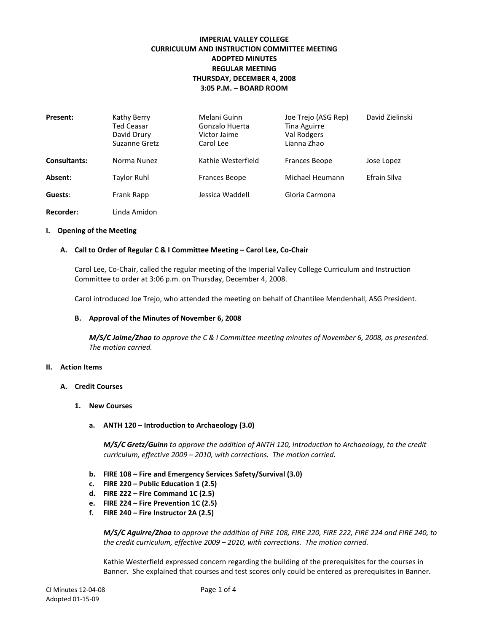# **IMPERIAL VALLEY COLLEGE CURRICULUM AND INSTRUCTION COMMITTEE MEETING ADOPTED MINUTES REGULAR MEETING THURSDAY, DECEMBER 4, 2008 3:05 P.M. – BOARD ROOM**

| Present:            | Kathy Berry<br><b>Ted Ceasar</b><br>David Drury<br>Suzanne Gretz | Melani Guinn<br>Gonzalo Huerta<br>Victor Jaime<br>Carol Lee | Joe Trejo (ASG Rep)<br>Tina Aguirre<br>Val Rodgers<br>Lianna Zhao | David Zielinski |
|---------------------|------------------------------------------------------------------|-------------------------------------------------------------|-------------------------------------------------------------------|-----------------|
| <b>Consultants:</b> | Norma Nunez                                                      | Kathie Westerfield                                          | <b>Frances Beope</b>                                              | Jose Lopez      |
| Absent:             | <b>Taylor Ruhl</b>                                               | Frances Beope                                               | Michael Heumann                                                   | Efrain Silva    |
| Guests:             | Frank Rapp                                                       | Jessica Waddell                                             | Gloria Carmona                                                    |                 |
| Recorder:           | Linda Amidon                                                     |                                                             |                                                                   |                 |

#### **I. Opening of the Meeting**

#### **A. Call to Order of Regular C & I Committee Meeting – Carol Lee, Co-Chair**

Carol Lee, Co-Chair, called the regular meeting of the Imperial Valley College Curriculum and Instruction Committee to order at 3:06 p.m. on Thursday, December 4, 2008.

Carol introduced Joe Trejo, who attended the meeting on behalf of Chantilee Mendenhall, ASG President.

#### **B. Approval of the Minutes of November 6, 2008**

*M/S/C Jaime/Zhao to approve the C & I Committee meeting minutes of November 6, 2008, as presented. The motion carried.*

#### **II. Action Items**

- **A. Credit Courses**
	- **1. New Courses**
		- **a. ANTH 120 – Introduction to Archaeology (3.0)**

*M/S/C Gretz/Guinn to approve the addition of ANTH 120, Introduction to Archaeology, to the credit curriculum, effective 2009 – 2010, with corrections. The motion carried.*

- **b. FIRE 108 – Fire and Emergency Services Safety/Survival (3.0)**
- **c. FIRE 220 – Public Education 1 (2.5)**
- **d. FIRE 222 – Fire Command 1C (2.5)**
- **e. FIRE 224 – Fire Prevention 1C (2.5)**
- **f. FIRE 240 – Fire Instructor 2A (2.5)**

*M/S/C Aguirre/Zhao to approve the addition of FIRE 108, FIRE 220, FIRE 222, FIRE 224 and FIRE 240, to the credit curriculum, effective 2009 – 2010, with corrections. The motion carried.*

Kathie Westerfield expressed concern regarding the building of the prerequisites for the courses in Banner. She explained that courses and test scores only could be entered as prerequisites in Banner.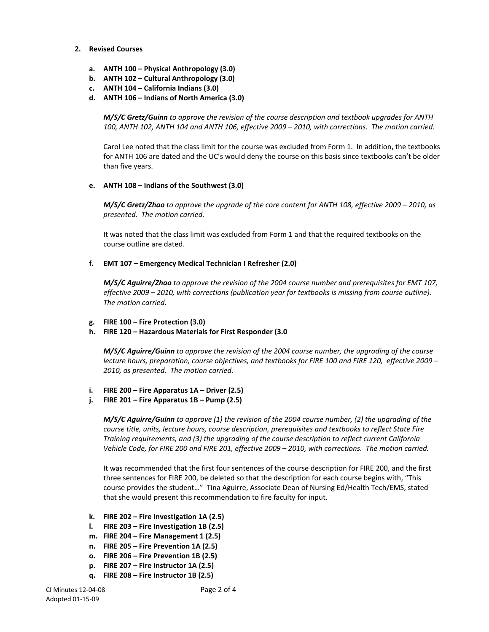#### **2. Revised Courses**

- **a. ANTH 100 – Physical Anthropology (3.0)**
- **b. ANTH 102 – Cultural Anthropology (3.0)**
- **c. ANTH 104 – California Indians (3.0)**
- **d. ANTH 106 – Indians of North America (3.0)**

*M/S/C Gretz/Guinn to approve the revision of the course description and textbook upgrades for ANTH 100, ANTH 102, ANTH 104 and ANTH 106, effective 2009 – 2010, with corrections. The motion carried.*

Carol Lee noted that the class limit for the course was excluded from Form 1. In addition, the textbooks for ANTH 106 are dated and the UC's would deny the course on this basis since textbooks can't be older than five years.

#### **e. ANTH 108 – Indians of the Southwest (3.0)**

*M/S/C Gretz/Zhao to approve the upgrade of the core content for ANTH 108, effective 2009 – 2010, as presented. The motion carried.*

It was noted that the class limit was excluded from Form 1 and that the required textbooks on the course outline are dated.

#### **f. EMT 107 – Emergency Medical Technician I Refresher (2.0)**

*M/S/C Aguirre/Zhao to approve the revision of the 2004 course number and prerequisites for EMT 107, effective 2009 – 2010, with corrections (publication year for textbooks is missing from course outline). The motion carried.*

- **g. FIRE 100 – Fire Protection (3.0)**
- **h. FIRE 120 – Hazardous Materials for First Responder (3.0**

*M/S/C Aguirre/Guinn to approve the revision of the 2004 course number, the upgrading of the course lecture hours, preparation, course objectives, and textbooks for FIRE 100 and FIRE 120, effective 2009 – 2010, as presented. The motion carried.*

- **i. FIRE 200 – Fire Apparatus 1A – Driver (2.5)**
- **j. FIRE 201 – Fire Apparatus 1B – Pump (2.5)**

*M/S/C Aguirre/Guinn to approve (1) the revision of the 2004 course number, (2) the upgrading of the course title, units, lecture hours, course description, prerequisites and textbooks to reflect State Fire Training requirements, and (3) the upgrading of the course description to reflect current California Vehicle Code, for FIRE 200 and FIRE 201, effective 2009 – 2010, with corrections. The motion carried.*

It was recommended that the first four sentences of the course description for FIRE 200, and the first three sentences for FIRE 200, be deleted so that the description for each course begins with, "This course provides the student…" Tina Aguirre, Associate Dean of Nursing Ed/Health Tech/EMS, stated that she would present this recommendation to fire faculty for input.

- **k. FIRE 202 – Fire Investigation 1A (2.5)**
- **l. FIRE 203 – Fire Investigation 1B (2.5)**
- **m. FIRE 204 – Fire Management 1 (2.5)**
- **n. FIRE 205 – Fire Prevention 1A (2.5)**
- **o. FIRE 206 – Fire Prevention 1B (2.5)**
- **p. FIRE 207 – Fire Instructor 1A (2.5)**
- **q. FIRE 208 – Fire Instructor 1B (2.5)**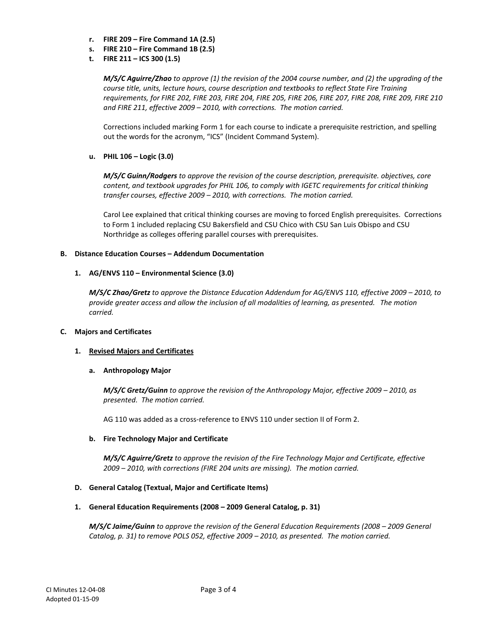- **r. FIRE 209 – Fire Command 1A (2.5)**
- **s. FIRE 210 – Fire Command 1B (2.5)**
- **t. FIRE 211 – ICS 300 (1.5)**

*M/S/C Aguirre/Zhao to approve (1) the revision of the 2004 course number, and (2) the upgrading of the course title, units, lecture hours, course description and textbooks to reflect State Fire Training requirements, for FIRE 202, FIRE 203, FIRE 204, FIRE 205, FIRE 206, FIRE 207, FIRE 208, FIRE 209, FIRE 210 and FIRE 211, effective 2009 – 2010, with corrections. The motion carried.*

Corrections included marking Form 1 for each course to indicate a prerequisite restriction, and spelling out the words for the acronym, "ICS" (Incident Command System).

**u. PHIL 106 – Logic (3.0)**

*M/S/C Guinn/Rodgers to approve the revision of the course description, prerequisite. objectives, core content, and textbook upgrades for PHIL 106, to comply with IGETC requirements for critical thinking transfer courses, effective 2009 – 2010, with corrections. The motion carried.*

Carol Lee explained that critical thinking courses are moving to forced English prerequisites. Corrections to Form 1 included replacing CSU Bakersfield and CSU Chico with CSU San Luis Obispo and CSU Northridge as colleges offering parallel courses with prerequisites.

# **B. Distance Education Courses – Addendum Documentation**

# **1. AG/ENVS 110 – Environmental Science (3.0)**

*M/S/C Zhao/Gretz to approve the Distance Education Addendum for AG/ENVS 110, effective 2009 – 2010, to provide greater access and allow the inclusion of all modalities of learning, as presented. The motion carried.*

# **C. Majors and Certificates**

# **1. Revised Majors and Certificates**

# **a. Anthropology Major**

*M/S/C Gretz/Guinn to approve the revision of the Anthropology Major, effective 2009 – 2010, as presented. The motion carried.*

AG 110 was added as a cross-reference to ENVS 110 under section II of Form 2.

# **b. Fire Technology Major and Certificate**

*M/S/C Aguirre/Gretz to approve the revision of the Fire Technology Major and Certificate, effective 2009 – 2010, with corrections (FIRE 204 units are missing). The motion carried.*

# **D. General Catalog (Textual, Major and Certificate Items)**

# **1. General Education Requirements (2008 – 2009 General Catalog, p. 31)**

*M/S/C Jaime/Guinn to approve the revision of the General Education Requirements (2008 – 2009 General Catalog, p. 31) to remove POLS 052, effective 2009 – 2010, as presented. The motion carried.*